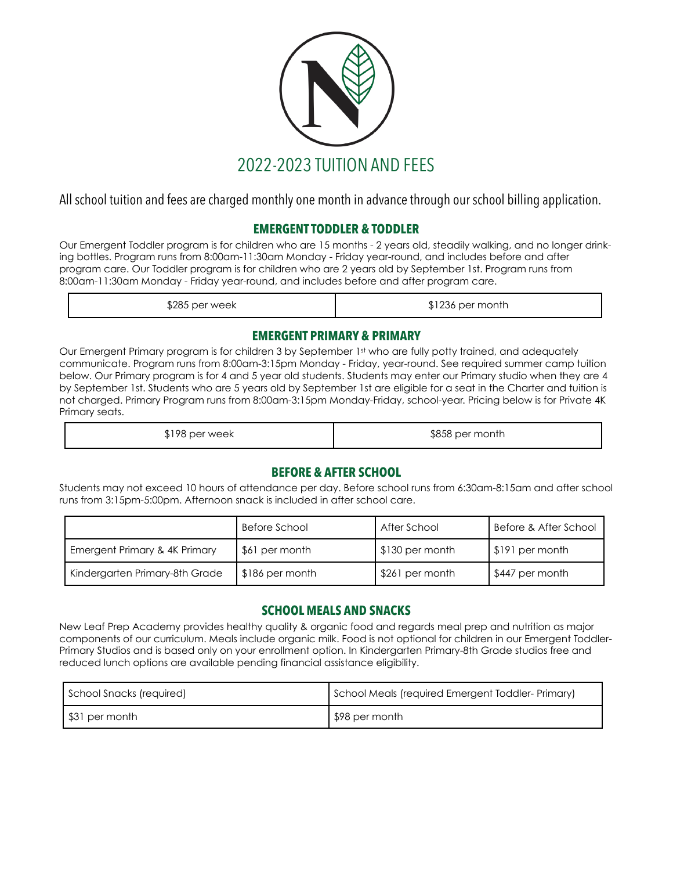

All school tuition and fees are charged monthly one month in advance through our school billing application.

# **EMERGENT TODDLER & TODDLER**

Our Emergent Toddler program is for children who are 15 months - 2 years old, steadily walking, and no longer drinking bottles. Program runs from 8:00am-11:30am Monday - Friday year-round, and includes before and after program care. Our Toddler program is for children who are 2 years old by September 1st. Program runs from 8:00am-11:30am Monday - Friday year-round, and includes before and after program care.

| \$285 per week | \$1236 per month |
|----------------|------------------|
|----------------|------------------|

### **EMERGENT PRIMARY & PRIMARY**

Our Emergent Primary program is for children 3 by September 1st who are fully potty trained, and adequately communicate. Program runs from 8:00am-3:15pm Monday - Friday, year-round. See required summer camp tuition below. Our Primary program is for 4 and 5 year old students. Students may enter our Primary studio when they are 4 by September 1st. Students who are 5 years old by September 1st are eligible for a seat in the Charter and tuition is not charged. Primary Program runs from 8:00am-3:15pm Monday-Friday, school-year. Pricing below is for Private 4K Primary seats.

\$198 per week **\$858** per month

# **BEFORE & AFTER SCHOOL**

Students may not exceed 10 hours of attendance per day. Before school runs from 6:30am-8:15am and after school runs from 3:15pm-5:00pm. Afternoon snack is included in after school care.

|                                | Before School   | After School    | Before & After School |
|--------------------------------|-----------------|-----------------|-----------------------|
| Emergent Primary & 4K Primary  | \$61 per month  | \$130 per month | S191 per month        |
| Kindergarten Primary-8th Grade | \$186 per month | \$261 per month | \$447 per month       |

# **SCHOOL MEALS AND SNACKS**

New Leaf Prep Academy provides healthy quality & organic food and regards meal prep and nutrition as major components of our curriculum. Meals include organic milk. Food is not optional for children in our Emergent Toddler-Primary Studios and is based only on your enrollment option. In Kindergarten Primary-8th Grade studios free and reduced lunch options are available pending financial assistance eligibility.

| School Snacks (required) | School Meals (required Emergent Toddler-Primary) |
|--------------------------|--------------------------------------------------|
| S31 per month            | \$98 per month                                   |